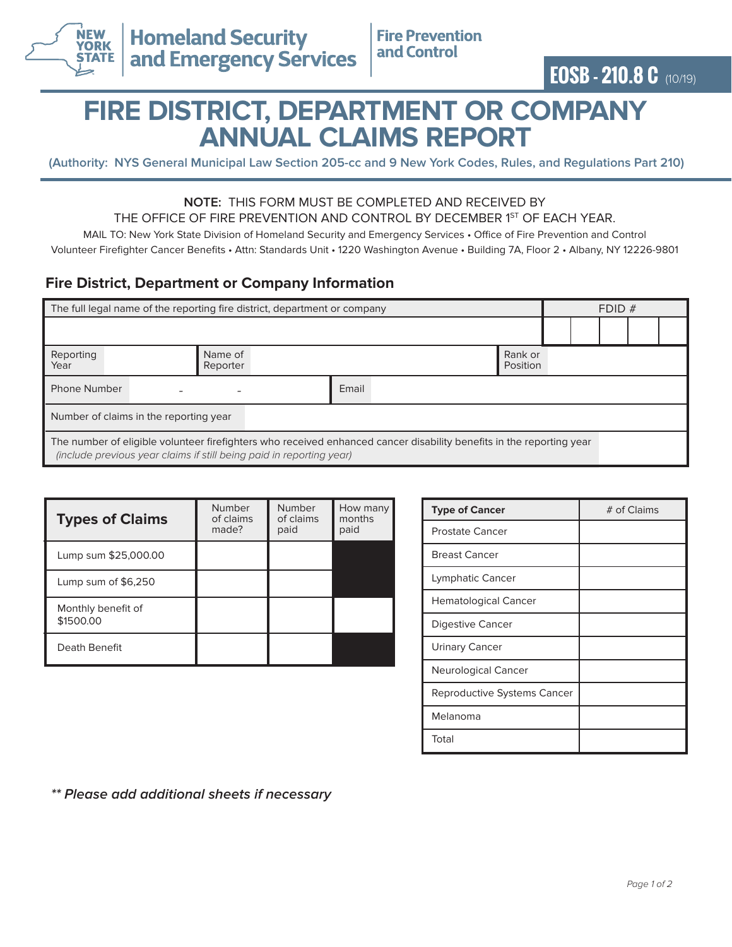

# **FIRE DISTRICT, DEPARTMENT OR COMPANY ANNUAL CLAIMS REPORT**

**(Authority: NYS General Municipal Law Section 205-cc and 9 New York Codes, Rules, and Regulations Part 210)**

#### **NOTE:** THIS FORM MUST BE COMPLETED AND RECEIVED BY THE OFFICE OF FIRE PREVENTION AND CONTROL BY DECEMBER 1<sup>ST</sup> OF EACH YEAR.

MAIL TO: New York State Division of Homeland Security and Emergency Services • Office of Fire Prevention and Control

Volunteer Firefighter Cancer Benefits • Attn: Standards Unit • 1220 Washington Avenue • Building 7A, Floor 2 • Albany, NY 12226-9801

## **Fire District, Department or Company Information**

| The full legal name of the reporting fire district, department or company                                                                                                                    |                     |       |                     | FDID# |  |  |  |  |
|----------------------------------------------------------------------------------------------------------------------------------------------------------------------------------------------|---------------------|-------|---------------------|-------|--|--|--|--|
|                                                                                                                                                                                              |                     |       |                     |       |  |  |  |  |
| Reporting<br>Year                                                                                                                                                                            | Name of<br>Reporter |       | Rank or<br>Position |       |  |  |  |  |
| <b>Phone Number</b>                                                                                                                                                                          |                     | Email |                     |       |  |  |  |  |
| Number of claims in the reporting year                                                                                                                                                       |                     |       |                     |       |  |  |  |  |
| The number of eligible volunteer firefighters who received enhanced cancer disability benefits in the reporting year<br>(include previous year claims if still being paid in reporting year) |                     |       |                     |       |  |  |  |  |

| <b>Types of Claims</b>          | Number<br>of claims<br>made? | Number<br>of claims<br>paid | How many<br>months<br>paid |
|---------------------------------|------------------------------|-----------------------------|----------------------------|
| Lump sum \$25,000.00            |                              |                             |                            |
| Lump sum of \$6,250             |                              |                             |                            |
| Monthly benefit of<br>\$1500.00 |                              |                             |                            |
| Death Benefit                   |                              |                             |                            |

| <b>Type of Cancer</b>       | # of Claims |  |  |
|-----------------------------|-------------|--|--|
| Prostate Cancer             |             |  |  |
| <b>Breast Cancer</b>        |             |  |  |
| Lymphatic Cancer            |             |  |  |
| <b>Hematological Cancer</b> |             |  |  |
| <b>Digestive Cancer</b>     |             |  |  |
| <b>Urinary Cancer</b>       |             |  |  |
| Neurological Cancer         |             |  |  |
| Reproductive Systems Cancer |             |  |  |
| Melanoma                    |             |  |  |
| Total                       |             |  |  |

**\*\* Please add additional sheets if necessary**